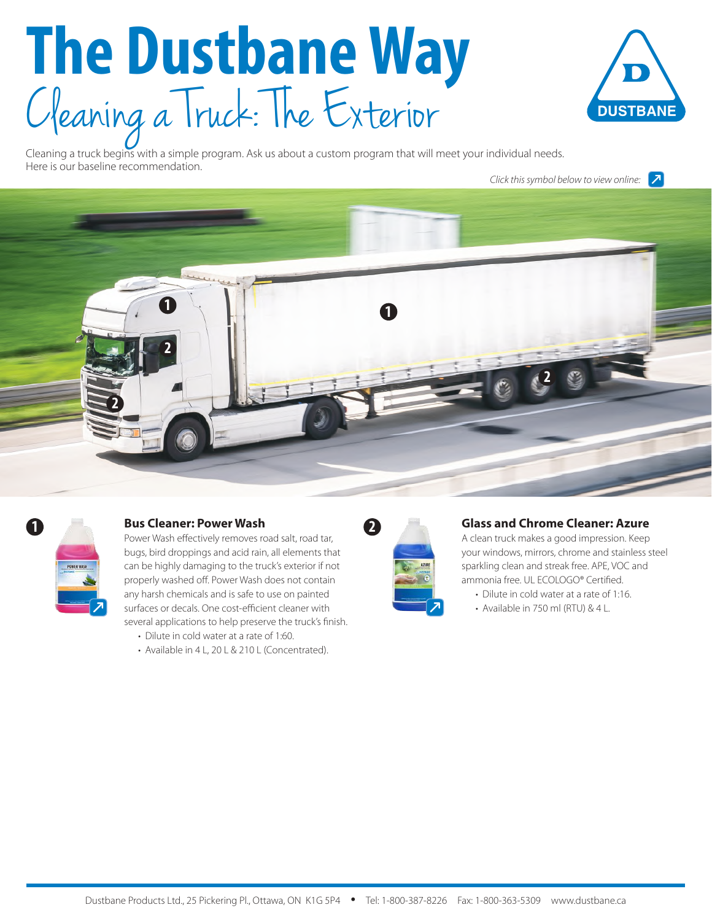# **The Dustbane Way** Cleaning a Truck: The Exterior



Cleaning a truck begins with a simple program. Ask us about a custom program that will meet your individual needs. Here is our baseline recommendation.

*Click this symbol below to view online:*





### **1 Bus Cleaner: Power Wash**

Power Wash effectively removes road salt, road tar, bugs, bird droppings and acid rain, all elements that can be highly damaging to the truck's exterior if not properly washed off. Power Wash does not contain any harsh chemicals and is safe to use on painted surfaces or decals. One cost-efficient cleaner with several applications to help preserve the truck's finish.

- Dilute in cold water at a rate of 1:60.
- Available in 4 L, 20 L & 210 L (Concentrated).



#### **Glass and Chrome Cleaner: Azure**

A clean truck makes a good impression. Keep your windows, mirrors, chrome and stainless steel sparkling clean and streak free. APE, VOC and ammonia free. UL ECOLOGO® Certified.

- Dilute in cold water at a rate of 1:16.
- Available in 750 ml (RTU) & 4 L.